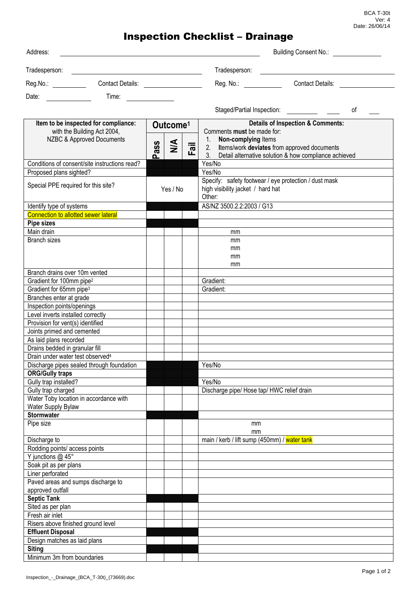BCA T-30t Ver: 4 Date: 26/06/14

## Inspection Checklist – Drainage

| Address:                                                                                         |           |                      |   |  | <b>Building Consent No.:</b>                                                                                                            |  |  |
|--------------------------------------------------------------------------------------------------|-----------|----------------------|---|--|-----------------------------------------------------------------------------------------------------------------------------------------|--|--|
| Tradesperson:                                                                                    |           |                      |   |  | Tradesperson:<br><u> 1989 - John Stein, mars and de Britain and de Britain and de Britain and de Britain and de Britain and de Br</u>   |  |  |
|                                                                                                  |           |                      |   |  | Reg. No.: <b>Example</b><br><b>Contact Details:</b> Contact Details:                                                                    |  |  |
| Date:<br><u>and a straight and a straight</u>                                                    | Time:     |                      |   |  |                                                                                                                                         |  |  |
|                                                                                                  |           |                      |   |  | 0f                                                                                                                                      |  |  |
| Item to be inspected for compliance:<br>with the Building Act 2004,<br>NZBC & Approved Documents |           | Outcome <sup>1</sup> |   |  | <b>Details of Inspection &amp; Comments:</b><br>Comments must be made for:                                                              |  |  |
|                                                                                                  |           |                      |   |  | 1. Non-complying Items                                                                                                                  |  |  |
|                                                                                                  |           | ass<br>൨             | M |  | $\overline{\overline{a}}$<br>2. Items/work deviates from approved documents<br>3. Detail alternative solution & how compliance achieved |  |  |
| Conditions of consent/site instructions read?<br>Proposed plans sighted?                         |           |                      |   |  | Yes/No<br>Yes/No                                                                                                                        |  |  |
| Special PPE required for this site?                                                              |           | Yes / No             |   |  | Specify: safety footwear / eye protection / dust mask<br>high visibility jacket / hard hat<br>Other:                                    |  |  |
| Identify type of systems                                                                         |           |                      |   |  | AS/NZ 3500.2.2:2003 / G13                                                                                                               |  |  |
| <b>Connection to allotted sewer lateral</b>                                                      |           |                      |   |  |                                                                                                                                         |  |  |
| Pipe sizes                                                                                       |           |                      |   |  |                                                                                                                                         |  |  |
| Main drain                                                                                       |           |                      |   |  | mm                                                                                                                                      |  |  |
| <b>Branch sizes</b>                                                                              |           |                      |   |  | mm                                                                                                                                      |  |  |
|                                                                                                  |           |                      |   |  | mm                                                                                                                                      |  |  |
|                                                                                                  |           |                      |   |  | mm                                                                                                                                      |  |  |
|                                                                                                  |           |                      |   |  | mm                                                                                                                                      |  |  |
| Branch drains over 10m vented<br>Gradient for 100mm pipe <sup>2</sup>                            |           |                      |   |  | Gradient:                                                                                                                               |  |  |
| Gradient for 65mm pipe <sup>3</sup>                                                              |           |                      |   |  | Gradient:                                                                                                                               |  |  |
| Branches enter at grade                                                                          |           |                      |   |  |                                                                                                                                         |  |  |
| Inspection points/openings                                                                       |           |                      |   |  |                                                                                                                                         |  |  |
| Level inverts installed correctly                                                                |           |                      |   |  |                                                                                                                                         |  |  |
| Provision for vent(s) identified                                                                 |           |                      |   |  |                                                                                                                                         |  |  |
| Joints primed and cemented                                                                       |           |                      |   |  |                                                                                                                                         |  |  |
| As laid plans recorded                                                                           |           |                      |   |  |                                                                                                                                         |  |  |
| Drains bedded in granular fill                                                                   |           |                      |   |  |                                                                                                                                         |  |  |
| Drain under water test observed <sup>4</sup>                                                     |           |                      |   |  |                                                                                                                                         |  |  |
| Discharge pipes sealed through foundation                                                        |           |                      |   |  | Yes/No                                                                                                                                  |  |  |
| <b>ORG/Gully traps</b>                                                                           |           |                      |   |  |                                                                                                                                         |  |  |
| Gully trap installed?                                                                            |           |                      |   |  | Yes/No                                                                                                                                  |  |  |
| Gully trap charged                                                                               |           |                      |   |  | Discharge pipe/ Hose tap/ HWC relief drain                                                                                              |  |  |
| Water Toby location in accordance with                                                           |           |                      |   |  |                                                                                                                                         |  |  |
| Water Supply Bylaw                                                                               |           |                      |   |  |                                                                                                                                         |  |  |
| <b>Stormwater</b>                                                                                |           |                      |   |  |                                                                                                                                         |  |  |
|                                                                                                  | Pipe size |                      |   |  | mm<br>mm                                                                                                                                |  |  |
| Discharge to                                                                                     |           |                      |   |  | main / kerb / lift sump (450mm) / water tank                                                                                            |  |  |
| Rodding points/ access points                                                                    |           |                      |   |  |                                                                                                                                         |  |  |
| Y junctions @ 45°                                                                                |           |                      |   |  |                                                                                                                                         |  |  |
| Soak pit as per plans                                                                            |           |                      |   |  |                                                                                                                                         |  |  |
| Liner perforated                                                                                 |           |                      |   |  |                                                                                                                                         |  |  |
| Paved areas and sumps discharge to                                                               |           |                      |   |  |                                                                                                                                         |  |  |
| approved outfall                                                                                 |           |                      |   |  |                                                                                                                                         |  |  |
| <b>Septic Tank</b>                                                                               |           |                      |   |  |                                                                                                                                         |  |  |
| Sited as per plan                                                                                |           |                      |   |  |                                                                                                                                         |  |  |
| Fresh air inlet                                                                                  |           |                      |   |  |                                                                                                                                         |  |  |
| Risers above finished ground level                                                               |           |                      |   |  |                                                                                                                                         |  |  |
| <b>Effluent Disposal</b>                                                                         |           |                      |   |  |                                                                                                                                         |  |  |
| Design matches as laid plans                                                                     |           |                      |   |  |                                                                                                                                         |  |  |
| <b>Siting</b>                                                                                    |           |                      |   |  |                                                                                                                                         |  |  |
| Minimum 3m from boundaries                                                                       |           |                      |   |  |                                                                                                                                         |  |  |